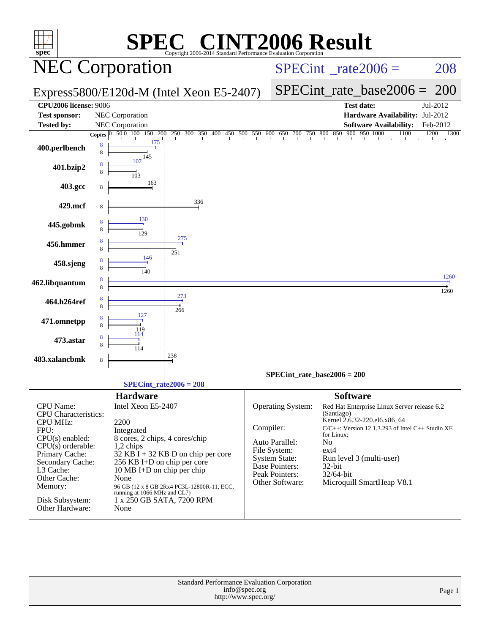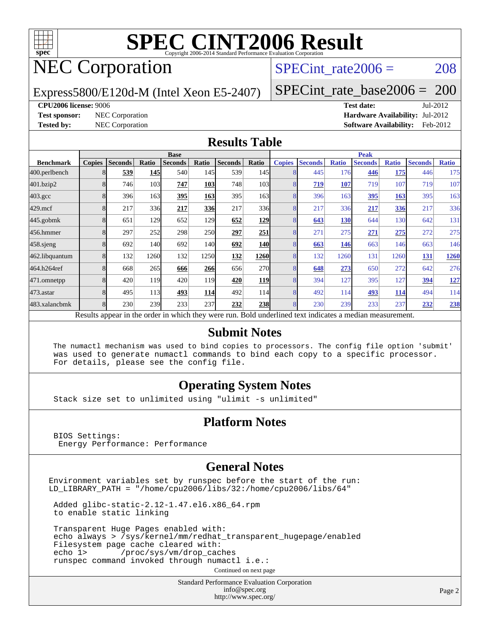

## NEC Corporation

SPECint rate $2006 = 208$ 

Express5800/E120d-M (Intel Xeon E5-2407)

[SPECint\\_rate\\_base2006 =](http://www.spec.org/auto/cpu2006/Docs/result-fields.html#SPECintratebase2006) 200

#### **[CPU2006 license:](http://www.spec.org/auto/cpu2006/Docs/result-fields.html#CPU2006license)** 9006 **[Test date:](http://www.spec.org/auto/cpu2006/Docs/result-fields.html#Testdate)** Jul-2012

**[Test sponsor:](http://www.spec.org/auto/cpu2006/Docs/result-fields.html#Testsponsor)** NEC Corporation **[Hardware Availability:](http://www.spec.org/auto/cpu2006/Docs/result-fields.html#HardwareAvailability)** Jul-2012 **[Tested by:](http://www.spec.org/auto/cpu2006/Docs/result-fields.html#Testedby)** NEC Corporation **[Software Availability:](http://www.spec.org/auto/cpu2006/Docs/result-fields.html#SoftwareAvailability)** Feb-2012

#### **[Results Table](http://www.spec.org/auto/cpu2006/Docs/result-fields.html#ResultsTable)**

|                    | <b>Base</b>   |                |       |                                                                                                          |            |                |            | <b>Peak</b>   |                |              |                |              |                |              |
|--------------------|---------------|----------------|-------|----------------------------------------------------------------------------------------------------------|------------|----------------|------------|---------------|----------------|--------------|----------------|--------------|----------------|--------------|
| <b>Benchmark</b>   | <b>Copies</b> | <b>Seconds</b> | Ratio | <b>Seconds</b>                                                                                           | Ratio      | <b>Seconds</b> | Ratio      | <b>Copies</b> | <b>Seconds</b> | <b>Ratio</b> | <b>Seconds</b> | <b>Ratio</b> | <b>Seconds</b> | <b>Ratio</b> |
| 400.perlbench      |               | 539            | 145   | 540                                                                                                      | 145        | 539            | 145        |               | 445            | 176          | 446            | 175          | 446            | 175          |
| 401.bzip2          |               | 746            | 103   | 747                                                                                                      | 103        | 748            | 103        |               | 719            | 107          | 719            | 107          | 719            | 107          |
| $403.\mathrm{gcc}$ |               | 396            | 163   | 395                                                                                                      | 163        | 395            | 163        |               | 396            | 163          | 395            | 163          | 395            | 163          |
| $429$ .mcf         |               | 217            | 336   | 217                                                                                                      | <u>336</u> | 217            | 336        |               | 217            | 336          | 217            | <b>336</b>   | 217            | 336          |
| $445$ .gobmk       |               | 651            | 129   | 652                                                                                                      | 129        | 652            | 129        |               | 643            | 130          | 644            | 130          | 642            | 131          |
| 456.hmmer          |               | 297            | 252   | 298                                                                                                      | <b>250</b> | 297            | 251        |               | 271            | 275          | 271            | 275          | 272            | 275          |
| $458$ .sjeng       |               | 692            | 140   | 692                                                                                                      | <b>140</b> | 692            | <b>140</b> |               | 663            | 146          | 663            | 146          | 663            | 146          |
| 462.libquantum     |               | 132            | 1260  | 132                                                                                                      | 1250       | 132            | 1260       |               | 132            | 1260         | 131            | 1260         | 131            | 1260         |
| 464.h264ref        |               | 668            | 265   | 666                                                                                                      | 266        | 656            | <b>270</b> |               | 648            | 273          | 650            | 272          | 642            | 276          |
| 471.omnetpp        |               | 420            | 119   | 420                                                                                                      | 119        | 420            | 119        |               | 394            | 127          | 395            | 127          | 394            | <u>127</u>   |
| 473.astar          |               | 495            | 113   | 493                                                                                                      | 114        | 492            | 114        |               | 492            | 114          | 493            | 114          | 494            | 114          |
| 483.xalancbmk      |               | 230            | 239   | 233                                                                                                      | 237        | 232            | <b>238</b> |               | 230            | 239          | 233            | 237          | 232            | 238          |
|                    |               |                |       | Results appear in the order in which they were run. Bold underlined text indicates a median measurement. |            |                |            |               |                |              |                |              |                |              |

#### **[Submit Notes](http://www.spec.org/auto/cpu2006/Docs/result-fields.html#SubmitNotes)**

 The numactl mechanism was used to bind copies to processors. The config file option 'submit' was used to generate numactl commands to bind each copy to a specific processor. For details, please see the config file.

#### **[Operating System Notes](http://www.spec.org/auto/cpu2006/Docs/result-fields.html#OperatingSystemNotes)**

Stack size set to unlimited using "ulimit -s unlimited"

#### **[Platform Notes](http://www.spec.org/auto/cpu2006/Docs/result-fields.html#PlatformNotes)**

 BIOS Settings: Energy Performance: Performance

#### **[General Notes](http://www.spec.org/auto/cpu2006/Docs/result-fields.html#GeneralNotes)**

Environment variables set by runspec before the start of the run: LD\_LIBRARY\_PATH = "/home/cpu2006/libs/32:/home/cpu2006/libs/64"

 Added glibc-static-2.12-1.47.el6.x86\_64.rpm to enable static linking

 Transparent Huge Pages enabled with: echo always > /sys/kernel/mm/redhat\_transparent\_hugepage/enabled Filesystem page cache cleared with: echo 1> /proc/sys/vm/drop\_caches runspec command invoked through numactl i.e.:

Continued on next page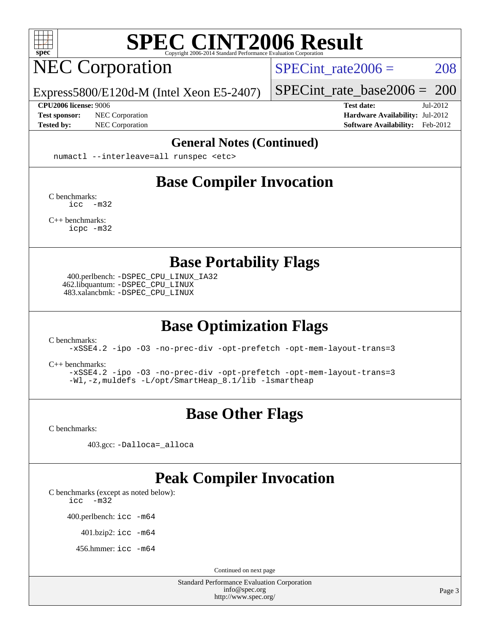

## NEC Corporation

SPECint rate $2006 = 208$ 

Express5800/E120d-M (Intel Xeon E5-2407)

**[CPU2006 license:](http://www.spec.org/auto/cpu2006/Docs/result-fields.html#CPU2006license)** 9006 **[Test date:](http://www.spec.org/auto/cpu2006/Docs/result-fields.html#Testdate)** Jul-2012

[SPECint\\_rate\\_base2006 =](http://www.spec.org/auto/cpu2006/Docs/result-fields.html#SPECintratebase2006) 200

**[Test sponsor:](http://www.spec.org/auto/cpu2006/Docs/result-fields.html#Testsponsor)** NEC Corporation **[Hardware Availability:](http://www.spec.org/auto/cpu2006/Docs/result-fields.html#HardwareAvailability)** Jul-2012 **[Tested by:](http://www.spec.org/auto/cpu2006/Docs/result-fields.html#Testedby)** NEC Corporation **[Software Availability:](http://www.spec.org/auto/cpu2006/Docs/result-fields.html#SoftwareAvailability)** Feb-2012

#### **[General Notes \(Continued\)](http://www.spec.org/auto/cpu2006/Docs/result-fields.html#GeneralNotes)**

numactl --interleave=all runspec <etc>

## **[Base Compiler Invocation](http://www.spec.org/auto/cpu2006/Docs/result-fields.html#BaseCompilerInvocation)**

[C benchmarks](http://www.spec.org/auto/cpu2006/Docs/result-fields.html#Cbenchmarks): [icc -m32](http://www.spec.org/cpu2006/results/res2012q3/cpu2006-20120802-24002.flags.html#user_CCbase_intel_icc_5ff4a39e364c98233615fdd38438c6f2)

[C++ benchmarks:](http://www.spec.org/auto/cpu2006/Docs/result-fields.html#CXXbenchmarks) [icpc -m32](http://www.spec.org/cpu2006/results/res2012q3/cpu2006-20120802-24002.flags.html#user_CXXbase_intel_icpc_4e5a5ef1a53fd332b3c49e69c3330699)

**[Base Portability Flags](http://www.spec.org/auto/cpu2006/Docs/result-fields.html#BasePortabilityFlags)**

 400.perlbench: [-DSPEC\\_CPU\\_LINUX\\_IA32](http://www.spec.org/cpu2006/results/res2012q3/cpu2006-20120802-24002.flags.html#b400.perlbench_baseCPORTABILITY_DSPEC_CPU_LINUX_IA32) 462.libquantum: [-DSPEC\\_CPU\\_LINUX](http://www.spec.org/cpu2006/results/res2012q3/cpu2006-20120802-24002.flags.html#b462.libquantum_baseCPORTABILITY_DSPEC_CPU_LINUX) 483.xalancbmk: [-DSPEC\\_CPU\\_LINUX](http://www.spec.org/cpu2006/results/res2012q3/cpu2006-20120802-24002.flags.html#b483.xalancbmk_baseCXXPORTABILITY_DSPEC_CPU_LINUX)

## **[Base Optimization Flags](http://www.spec.org/auto/cpu2006/Docs/result-fields.html#BaseOptimizationFlags)**

[C benchmarks](http://www.spec.org/auto/cpu2006/Docs/result-fields.html#Cbenchmarks):

[-xSSE4.2](http://www.spec.org/cpu2006/results/res2012q3/cpu2006-20120802-24002.flags.html#user_CCbase_f-xSSE42_f91528193cf0b216347adb8b939d4107) [-ipo](http://www.spec.org/cpu2006/results/res2012q3/cpu2006-20120802-24002.flags.html#user_CCbase_f-ipo) [-O3](http://www.spec.org/cpu2006/results/res2012q3/cpu2006-20120802-24002.flags.html#user_CCbase_f-O3) [-no-prec-div](http://www.spec.org/cpu2006/results/res2012q3/cpu2006-20120802-24002.flags.html#user_CCbase_f-no-prec-div) [-opt-prefetch](http://www.spec.org/cpu2006/results/res2012q3/cpu2006-20120802-24002.flags.html#user_CCbase_f-opt-prefetch) [-opt-mem-layout-trans=3](http://www.spec.org/cpu2006/results/res2012q3/cpu2006-20120802-24002.flags.html#user_CCbase_f-opt-mem-layout-trans_a7b82ad4bd7abf52556d4961a2ae94d5)

[C++ benchmarks:](http://www.spec.org/auto/cpu2006/Docs/result-fields.html#CXXbenchmarks)

[-xSSE4.2](http://www.spec.org/cpu2006/results/res2012q3/cpu2006-20120802-24002.flags.html#user_CXXbase_f-xSSE42_f91528193cf0b216347adb8b939d4107) [-ipo](http://www.spec.org/cpu2006/results/res2012q3/cpu2006-20120802-24002.flags.html#user_CXXbase_f-ipo) [-O3](http://www.spec.org/cpu2006/results/res2012q3/cpu2006-20120802-24002.flags.html#user_CXXbase_f-O3) [-no-prec-div](http://www.spec.org/cpu2006/results/res2012q3/cpu2006-20120802-24002.flags.html#user_CXXbase_f-no-prec-div) [-opt-prefetch](http://www.spec.org/cpu2006/results/res2012q3/cpu2006-20120802-24002.flags.html#user_CXXbase_f-opt-prefetch) [-opt-mem-layout-trans=3](http://www.spec.org/cpu2006/results/res2012q3/cpu2006-20120802-24002.flags.html#user_CXXbase_f-opt-mem-layout-trans_a7b82ad4bd7abf52556d4961a2ae94d5) [-Wl,-z,muldefs](http://www.spec.org/cpu2006/results/res2012q3/cpu2006-20120802-24002.flags.html#user_CXXbase_link_force_multiple1_74079c344b956b9658436fd1b6dd3a8a) [-L/opt/SmartHeap\\_8.1/lib -lsmartheap](http://www.spec.org/cpu2006/results/res2012q3/cpu2006-20120802-24002.flags.html#user_CXXbase_SmartHeap_d5ba4dfc9de25d3c657c7de7476e66c5)

## **[Base Other Flags](http://www.spec.org/auto/cpu2006/Docs/result-fields.html#BaseOtherFlags)**

[C benchmarks](http://www.spec.org/auto/cpu2006/Docs/result-fields.html#Cbenchmarks):

403.gcc: [-Dalloca=\\_alloca](http://www.spec.org/cpu2006/results/res2012q3/cpu2006-20120802-24002.flags.html#b403.gcc_baseEXTRA_CFLAGS_Dalloca_be3056838c12de2578596ca5467af7f3)

#### **[Peak Compiler Invocation](http://www.spec.org/auto/cpu2006/Docs/result-fields.html#PeakCompilerInvocation)**

[C benchmarks \(except as noted below\)](http://www.spec.org/auto/cpu2006/Docs/result-fields.html#Cbenchmarksexceptasnotedbelow):

[icc -m32](http://www.spec.org/cpu2006/results/res2012q3/cpu2006-20120802-24002.flags.html#user_CCpeak_intel_icc_5ff4a39e364c98233615fdd38438c6f2)

400.perlbench: [icc -m64](http://www.spec.org/cpu2006/results/res2012q3/cpu2006-20120802-24002.flags.html#user_peakCCLD400_perlbench_intel_icc_64bit_bda6cc9af1fdbb0edc3795bac97ada53)

401.bzip2: [icc -m64](http://www.spec.org/cpu2006/results/res2012q3/cpu2006-20120802-24002.flags.html#user_peakCCLD401_bzip2_intel_icc_64bit_bda6cc9af1fdbb0edc3795bac97ada53)

456.hmmer: [icc -m64](http://www.spec.org/cpu2006/results/res2012q3/cpu2006-20120802-24002.flags.html#user_peakCCLD456_hmmer_intel_icc_64bit_bda6cc9af1fdbb0edc3795bac97ada53)

Continued on next page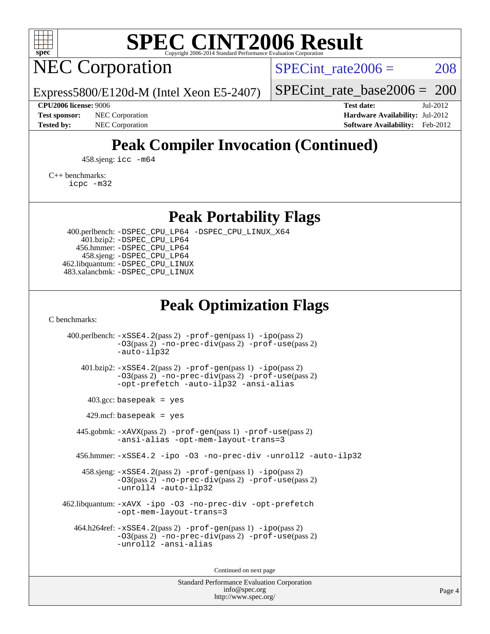

## NEC Corporation

SPECint rate $2006 = 208$ 

Express5800/E120d-M (Intel Xeon E5-2407)

[SPECint\\_rate\\_base2006 =](http://www.spec.org/auto/cpu2006/Docs/result-fields.html#SPECintratebase2006) 200

**[CPU2006 license:](http://www.spec.org/auto/cpu2006/Docs/result-fields.html#CPU2006license)** 9006 **[Test date:](http://www.spec.org/auto/cpu2006/Docs/result-fields.html#Testdate)** Jul-2012 **[Test sponsor:](http://www.spec.org/auto/cpu2006/Docs/result-fields.html#Testsponsor)** NEC Corporation **[Hardware Availability:](http://www.spec.org/auto/cpu2006/Docs/result-fields.html#HardwareAvailability)** Jul-2012 **[Tested by:](http://www.spec.org/auto/cpu2006/Docs/result-fields.html#Testedby)** NEC Corporation **[Software Availability:](http://www.spec.org/auto/cpu2006/Docs/result-fields.html#SoftwareAvailability)** Feb-2012

## **[Peak Compiler Invocation \(Continued\)](http://www.spec.org/auto/cpu2006/Docs/result-fields.html#PeakCompilerInvocation)**

458.sjeng: [icc -m64](http://www.spec.org/cpu2006/results/res2012q3/cpu2006-20120802-24002.flags.html#user_peakCCLD458_sjeng_intel_icc_64bit_bda6cc9af1fdbb0edc3795bac97ada53)

[C++ benchmarks:](http://www.spec.org/auto/cpu2006/Docs/result-fields.html#CXXbenchmarks)

[icpc -m32](http://www.spec.org/cpu2006/results/res2012q3/cpu2006-20120802-24002.flags.html#user_CXXpeak_intel_icpc_4e5a5ef1a53fd332b3c49e69c3330699)

**[Peak Portability Flags](http://www.spec.org/auto/cpu2006/Docs/result-fields.html#PeakPortabilityFlags)**

 400.perlbench: [-DSPEC\\_CPU\\_LP64](http://www.spec.org/cpu2006/results/res2012q3/cpu2006-20120802-24002.flags.html#b400.perlbench_peakCPORTABILITY_DSPEC_CPU_LP64) [-DSPEC\\_CPU\\_LINUX\\_X64](http://www.spec.org/cpu2006/results/res2012q3/cpu2006-20120802-24002.flags.html#b400.perlbench_peakCPORTABILITY_DSPEC_CPU_LINUX_X64) 401.bzip2: [-DSPEC\\_CPU\\_LP64](http://www.spec.org/cpu2006/results/res2012q3/cpu2006-20120802-24002.flags.html#suite_peakCPORTABILITY401_bzip2_DSPEC_CPU_LP64) 456.hmmer: [-DSPEC\\_CPU\\_LP64](http://www.spec.org/cpu2006/results/res2012q3/cpu2006-20120802-24002.flags.html#suite_peakCPORTABILITY456_hmmer_DSPEC_CPU_LP64) 458.sjeng: [-DSPEC\\_CPU\\_LP64](http://www.spec.org/cpu2006/results/res2012q3/cpu2006-20120802-24002.flags.html#suite_peakCPORTABILITY458_sjeng_DSPEC_CPU_LP64) 462.libquantum: [-DSPEC\\_CPU\\_LINUX](http://www.spec.org/cpu2006/results/res2012q3/cpu2006-20120802-24002.flags.html#b462.libquantum_peakCPORTABILITY_DSPEC_CPU_LINUX) 483.xalancbmk: [-DSPEC\\_CPU\\_LINUX](http://www.spec.org/cpu2006/results/res2012q3/cpu2006-20120802-24002.flags.html#b483.xalancbmk_peakCXXPORTABILITY_DSPEC_CPU_LINUX)

### **[Peak Optimization Flags](http://www.spec.org/auto/cpu2006/Docs/result-fields.html#PeakOptimizationFlags)**

[C benchmarks](http://www.spec.org/auto/cpu2006/Docs/result-fields.html#Cbenchmarks):

 400.perlbench: [-xSSE4.2](http://www.spec.org/cpu2006/results/res2012q3/cpu2006-20120802-24002.flags.html#user_peakPASS2_CFLAGSPASS2_LDCFLAGS400_perlbench_f-xSSE42_f91528193cf0b216347adb8b939d4107)(pass 2) [-prof-gen](http://www.spec.org/cpu2006/results/res2012q3/cpu2006-20120802-24002.flags.html#user_peakPASS1_CFLAGSPASS1_LDCFLAGS400_perlbench_prof_gen_e43856698f6ca7b7e442dfd80e94a8fc)(pass 1) [-ipo](http://www.spec.org/cpu2006/results/res2012q3/cpu2006-20120802-24002.flags.html#user_peakPASS2_CFLAGSPASS2_LDCFLAGS400_perlbench_f-ipo)(pass 2) [-O3](http://www.spec.org/cpu2006/results/res2012q3/cpu2006-20120802-24002.flags.html#user_peakPASS2_CFLAGSPASS2_LDCFLAGS400_perlbench_f-O3)(pass 2) [-no-prec-div](http://www.spec.org/cpu2006/results/res2012q3/cpu2006-20120802-24002.flags.html#user_peakPASS2_CFLAGSPASS2_LDCFLAGS400_perlbench_f-no-prec-div)(pass 2) [-prof-use](http://www.spec.org/cpu2006/results/res2012q3/cpu2006-20120802-24002.flags.html#user_peakPASS2_CFLAGSPASS2_LDCFLAGS400_perlbench_prof_use_bccf7792157ff70d64e32fe3e1250b55)(pass 2) [-auto-ilp32](http://www.spec.org/cpu2006/results/res2012q3/cpu2006-20120802-24002.flags.html#user_peakCOPTIMIZE400_perlbench_f-auto-ilp32) 401.bzip2: [-xSSE4.2](http://www.spec.org/cpu2006/results/res2012q3/cpu2006-20120802-24002.flags.html#user_peakPASS2_CFLAGSPASS2_LDCFLAGS401_bzip2_f-xSSE42_f91528193cf0b216347adb8b939d4107)(pass 2) [-prof-gen](http://www.spec.org/cpu2006/results/res2012q3/cpu2006-20120802-24002.flags.html#user_peakPASS1_CFLAGSPASS1_LDCFLAGS401_bzip2_prof_gen_e43856698f6ca7b7e442dfd80e94a8fc)(pass 1) [-ipo](http://www.spec.org/cpu2006/results/res2012q3/cpu2006-20120802-24002.flags.html#user_peakPASS2_CFLAGSPASS2_LDCFLAGS401_bzip2_f-ipo)(pass 2) [-O3](http://www.spec.org/cpu2006/results/res2012q3/cpu2006-20120802-24002.flags.html#user_peakPASS2_CFLAGSPASS2_LDCFLAGS401_bzip2_f-O3)(pass 2) [-no-prec-div](http://www.spec.org/cpu2006/results/res2012q3/cpu2006-20120802-24002.flags.html#user_peakPASS2_CFLAGSPASS2_LDCFLAGS401_bzip2_f-no-prec-div)(pass 2) [-prof-use](http://www.spec.org/cpu2006/results/res2012q3/cpu2006-20120802-24002.flags.html#user_peakPASS2_CFLAGSPASS2_LDCFLAGS401_bzip2_prof_use_bccf7792157ff70d64e32fe3e1250b55)(pass 2) [-opt-prefetch](http://www.spec.org/cpu2006/results/res2012q3/cpu2006-20120802-24002.flags.html#user_peakCOPTIMIZE401_bzip2_f-opt-prefetch) [-auto-ilp32](http://www.spec.org/cpu2006/results/res2012q3/cpu2006-20120802-24002.flags.html#user_peakCOPTIMIZE401_bzip2_f-auto-ilp32) [-ansi-alias](http://www.spec.org/cpu2006/results/res2012q3/cpu2006-20120802-24002.flags.html#user_peakCOPTIMIZE401_bzip2_f-ansi-alias)  $403.\text{gcc: basepeak}$  = yes  $429$ .mcf: basepeak = yes 445.gobmk: [-xAVX](http://www.spec.org/cpu2006/results/res2012q3/cpu2006-20120802-24002.flags.html#user_peakPASS2_CFLAGSPASS2_LDCFLAGS445_gobmk_f-xAVX)(pass 2) [-prof-gen](http://www.spec.org/cpu2006/results/res2012q3/cpu2006-20120802-24002.flags.html#user_peakPASS1_CFLAGSPASS1_LDCFLAGS445_gobmk_prof_gen_e43856698f6ca7b7e442dfd80e94a8fc)(pass 1) [-prof-use](http://www.spec.org/cpu2006/results/res2012q3/cpu2006-20120802-24002.flags.html#user_peakPASS2_CFLAGSPASS2_LDCFLAGS445_gobmk_prof_use_bccf7792157ff70d64e32fe3e1250b55)(pass 2) [-ansi-alias](http://www.spec.org/cpu2006/results/res2012q3/cpu2006-20120802-24002.flags.html#user_peakCOPTIMIZE445_gobmk_f-ansi-alias) [-opt-mem-layout-trans=3](http://www.spec.org/cpu2006/results/res2012q3/cpu2006-20120802-24002.flags.html#user_peakCOPTIMIZE445_gobmk_f-opt-mem-layout-trans_a7b82ad4bd7abf52556d4961a2ae94d5) 456.hmmer: [-xSSE4.2](http://www.spec.org/cpu2006/results/res2012q3/cpu2006-20120802-24002.flags.html#user_peakCOPTIMIZE456_hmmer_f-xSSE42_f91528193cf0b216347adb8b939d4107) [-ipo](http://www.spec.org/cpu2006/results/res2012q3/cpu2006-20120802-24002.flags.html#user_peakCOPTIMIZE456_hmmer_f-ipo) [-O3](http://www.spec.org/cpu2006/results/res2012q3/cpu2006-20120802-24002.flags.html#user_peakCOPTIMIZE456_hmmer_f-O3) [-no-prec-div](http://www.spec.org/cpu2006/results/res2012q3/cpu2006-20120802-24002.flags.html#user_peakCOPTIMIZE456_hmmer_f-no-prec-div) [-unroll2](http://www.spec.org/cpu2006/results/res2012q3/cpu2006-20120802-24002.flags.html#user_peakCOPTIMIZE456_hmmer_f-unroll_784dae83bebfb236979b41d2422d7ec2) [-auto-ilp32](http://www.spec.org/cpu2006/results/res2012q3/cpu2006-20120802-24002.flags.html#user_peakCOPTIMIZE456_hmmer_f-auto-ilp32) 458.sjeng: [-xSSE4.2](http://www.spec.org/cpu2006/results/res2012q3/cpu2006-20120802-24002.flags.html#user_peakPASS2_CFLAGSPASS2_LDCFLAGS458_sjeng_f-xSSE42_f91528193cf0b216347adb8b939d4107)(pass 2) [-prof-gen](http://www.spec.org/cpu2006/results/res2012q3/cpu2006-20120802-24002.flags.html#user_peakPASS1_CFLAGSPASS1_LDCFLAGS458_sjeng_prof_gen_e43856698f6ca7b7e442dfd80e94a8fc)(pass 1) [-ipo](http://www.spec.org/cpu2006/results/res2012q3/cpu2006-20120802-24002.flags.html#user_peakPASS2_CFLAGSPASS2_LDCFLAGS458_sjeng_f-ipo)(pass 2) [-O3](http://www.spec.org/cpu2006/results/res2012q3/cpu2006-20120802-24002.flags.html#user_peakPASS2_CFLAGSPASS2_LDCFLAGS458_sjeng_f-O3)(pass 2) [-no-prec-div](http://www.spec.org/cpu2006/results/res2012q3/cpu2006-20120802-24002.flags.html#user_peakPASS2_CFLAGSPASS2_LDCFLAGS458_sjeng_f-no-prec-div)(pass 2) [-prof-use](http://www.spec.org/cpu2006/results/res2012q3/cpu2006-20120802-24002.flags.html#user_peakPASS2_CFLAGSPASS2_LDCFLAGS458_sjeng_prof_use_bccf7792157ff70d64e32fe3e1250b55)(pass 2) [-unroll4](http://www.spec.org/cpu2006/results/res2012q3/cpu2006-20120802-24002.flags.html#user_peakCOPTIMIZE458_sjeng_f-unroll_4e5e4ed65b7fd20bdcd365bec371b81f) [-auto-ilp32](http://www.spec.org/cpu2006/results/res2012q3/cpu2006-20120802-24002.flags.html#user_peakCOPTIMIZE458_sjeng_f-auto-ilp32) 462.libquantum: [-xAVX](http://www.spec.org/cpu2006/results/res2012q3/cpu2006-20120802-24002.flags.html#user_peakCOPTIMIZE462_libquantum_f-xAVX) [-ipo](http://www.spec.org/cpu2006/results/res2012q3/cpu2006-20120802-24002.flags.html#user_peakCOPTIMIZE462_libquantum_f-ipo) [-O3](http://www.spec.org/cpu2006/results/res2012q3/cpu2006-20120802-24002.flags.html#user_peakCOPTIMIZE462_libquantum_f-O3) [-no-prec-div](http://www.spec.org/cpu2006/results/res2012q3/cpu2006-20120802-24002.flags.html#user_peakCOPTIMIZE462_libquantum_f-no-prec-div) [-opt-prefetch](http://www.spec.org/cpu2006/results/res2012q3/cpu2006-20120802-24002.flags.html#user_peakCOPTIMIZE462_libquantum_f-opt-prefetch) [-opt-mem-layout-trans=3](http://www.spec.org/cpu2006/results/res2012q3/cpu2006-20120802-24002.flags.html#user_peakCOPTIMIZE462_libquantum_f-opt-mem-layout-trans_a7b82ad4bd7abf52556d4961a2ae94d5) 464.h264ref: [-xSSE4.2](http://www.spec.org/cpu2006/results/res2012q3/cpu2006-20120802-24002.flags.html#user_peakPASS2_CFLAGSPASS2_LDCFLAGS464_h264ref_f-xSSE42_f91528193cf0b216347adb8b939d4107)(pass 2) [-prof-gen](http://www.spec.org/cpu2006/results/res2012q3/cpu2006-20120802-24002.flags.html#user_peakPASS1_CFLAGSPASS1_LDCFLAGS464_h264ref_prof_gen_e43856698f6ca7b7e442dfd80e94a8fc)(pass 1) [-ipo](http://www.spec.org/cpu2006/results/res2012q3/cpu2006-20120802-24002.flags.html#user_peakPASS2_CFLAGSPASS2_LDCFLAGS464_h264ref_f-ipo)(pass 2) [-O3](http://www.spec.org/cpu2006/results/res2012q3/cpu2006-20120802-24002.flags.html#user_peakPASS2_CFLAGSPASS2_LDCFLAGS464_h264ref_f-O3)(pass 2) [-no-prec-div](http://www.spec.org/cpu2006/results/res2012q3/cpu2006-20120802-24002.flags.html#user_peakPASS2_CFLAGSPASS2_LDCFLAGS464_h264ref_f-no-prec-div)(pass 2) [-prof-use](http://www.spec.org/cpu2006/results/res2012q3/cpu2006-20120802-24002.flags.html#user_peakPASS2_CFLAGSPASS2_LDCFLAGS464_h264ref_prof_use_bccf7792157ff70d64e32fe3e1250b55)(pass 2) [-unroll2](http://www.spec.org/cpu2006/results/res2012q3/cpu2006-20120802-24002.flags.html#user_peakCOPTIMIZE464_h264ref_f-unroll_784dae83bebfb236979b41d2422d7ec2) [-ansi-alias](http://www.spec.org/cpu2006/results/res2012q3/cpu2006-20120802-24002.flags.html#user_peakCOPTIMIZE464_h264ref_f-ansi-alias)

Continued on next page